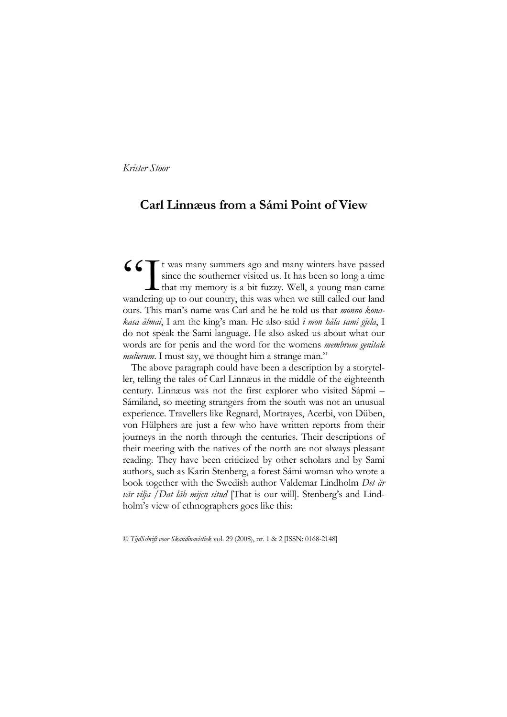Krister Stoor

# Carl Linnæus from a Sámi Point of View

t was many summers ago and many winters have passed since the southerner visited us. It has been so long a time that my memory is a bit fuzzy. Well, a young man came wandering up to our country, this was when we still called our land ours. This man's name was Carl and he he told us that monno konakasa ålmai, I am the king's man. He also said i mon håla sami giela, I do not speak the Sami language. He also asked us about what our words are for penis and the word for the womens membrum genitale mulierum. I must say, we thought him a strange man." GGT<br>wandering

The above paragraph could have been a description by a storyteller, telling the tales of Carl Linnæus in the middle of the eighteenth century. Linnæus was not the first explorer who visited Sápmi – Sámiland, so meeting strangers from the south was not an unusual experience. Travellers like Regnard, Mortrayes, Acerbi, von Düben, von Hülphers are just a few who have written reports from their journeys in the north through the centuries. Their descriptions of their meeting with the natives of the north are not always pleasant reading. They have been criticized by other scholars and by Sami authors, such as Karin Stenberg, a forest Sámi woman who wrote a book together with the Swedish author Valdemar Lindholm Det är vår vilja / Dat läh mijen situd [That is our will]. Stenberg's and Lindholm's view of ethnographers goes like this:

© TijdSchrift voor Skandinavistiek vol. 29 (2008), nr. 1 & 2 [ISSN: 0168-2148]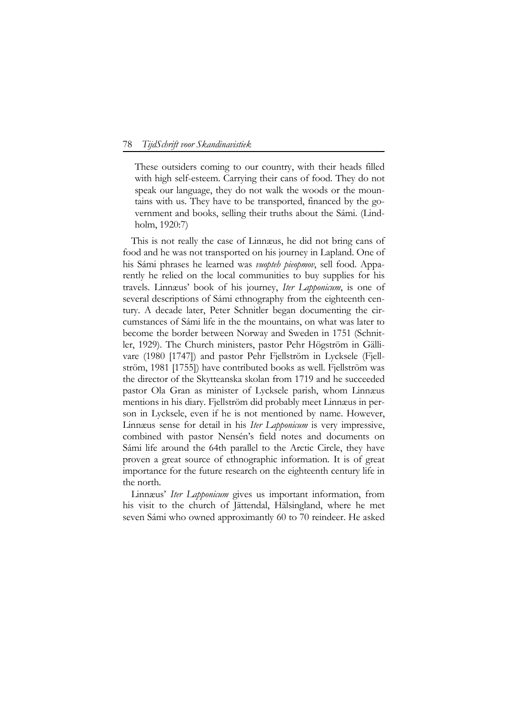#### 78 TijdSchrift voor Skandinavistiek

These outsiders coming to our country, with their heads filled with high self-esteem. Carrying their cans of food. They do not speak our language, they do not walk the woods or the mountains with us. They have to be transported, financed by the government and books, selling their truths about the Sámi. (Lindholm, 1920:7)

This is not really the case of Linnæus, he did not bring cans of food and he was not transported on his journey in Lapland. One of his Sámi phrases he learned was vuopteh pieopmov, sell food. Apparently he relied on the local communities to buy supplies for his travels. Linnæus' book of his journey, Iter Lapponicum, is one of several descriptions of Sámi ethnography from the eighteenth century. A decade later, Peter Schnitler began documenting the circumstances of Sámi life in the the mountains, on what was later to become the border between Norway and Sweden in 1751 (Schnitler, 1929). The Church ministers, pastor Pehr Högström in Gällivare (1980 [1747]) and pastor Pehr Fjellström in Lycksele (Fjellström, 1981 [1755]) have contributed books as well. Fjellström was the director of the Skytteanska skolan from 1719 and he succeeded pastor Ola Gran as minister of Lycksele parish, whom Linnæus mentions in his diary. Fjellström did probably meet Linnæus in person in Lycksele, even if he is not mentioned by name. However, Linnæus sense for detail in his Iter Lapponicum is very impressive, combined with pastor Nensén's field notes and documents on Sámi life around the 64th parallel to the Arctic Circle, they have proven a great source of ethnographic information. It is of great importance for the future research on the eighteenth century life in the north.

Linnæus' Iter Lapponicum gives us important information, from his visit to the church of Jättendal, Hälsingland, where he met seven Sámi who owned approximantly 60 to 70 reindeer. He asked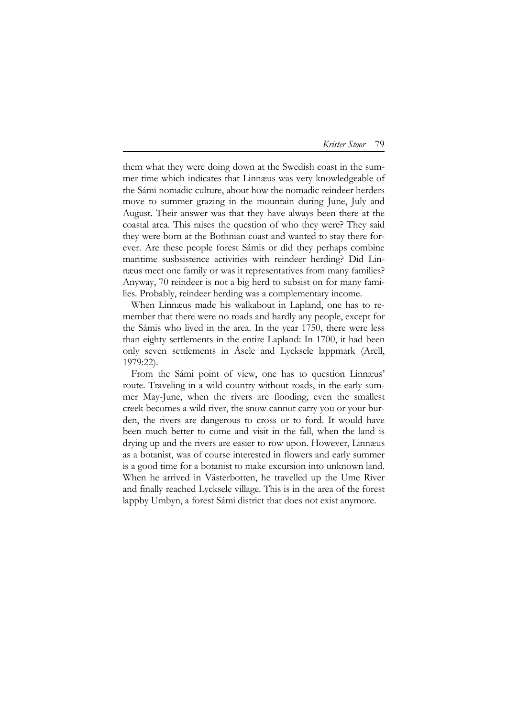## Krister Stoor 79

them what they were doing down at the Swedish coast in the summer time which indicates that Linnæus was very knowledgeable of the Sámi nomadic culture, about how the nomadic reindeer herders move to summer grazing in the mountain during June, July and August. Their answer was that they have always been there at the coastal area. This raises the question of who they were? They said they were born at the Bothnian coast and wanted to stay there forever. Are these people forest Sámis or did they perhaps combine maritime susbsistence activities with reindeer herding? Did Linnæus meet one family or was it representatives from many families? Anyway, 70 reindeer is not a big herd to subsist on for many families. Probably, reindeer herding was a complementary income.

When Linnæus made his walkabout in Lapland, one has to remember that there were no roads and hardly any people, except for the Sámis who lived in the area. In the year 1750, there were less than eighty settlements in the entire Lapland: In 1700, it had been only seven settlements in Åsele and Lycksele lappmark (Arell, 1979:22).

From the Sámi point of view, one has to question Linnæus' route. Traveling in a wild country without roads, in the early summer May-June, when the rivers are flooding, even the smallest creek becomes a wild river, the snow cannot carry you or your burden, the rivers are dangerous to cross or to ford. It would have been much better to come and visit in the fall, when the land is drying up and the rivers are easier to row upon. However, Linnæus as a botanist, was of course interested in flowers and early summer is a good time for a botanist to make excursion into unknown land. When he arrived in Västerbotten, he travelled up the Ume River and finally reached Lycksele village. This is in the area of the forest lappby Umbyn, a forest Sámi district that does not exist anymore.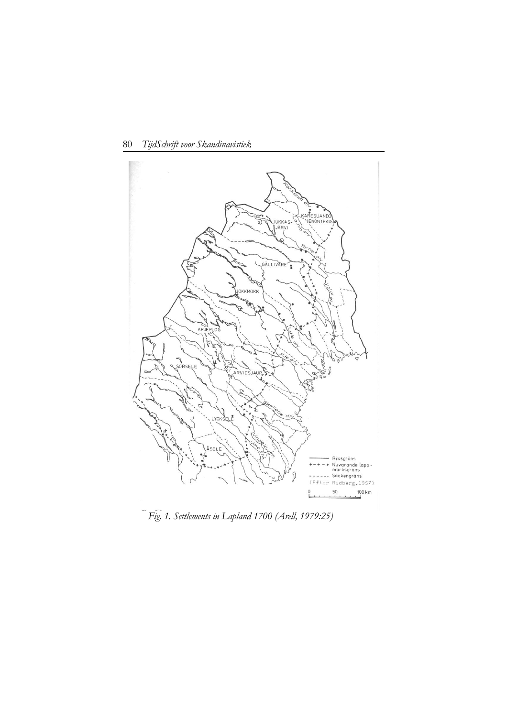

80 TijdSchrift voor Skandinavistiek

Fig. 1. Settlements in Lapland 1700 (Arell, 1979:25)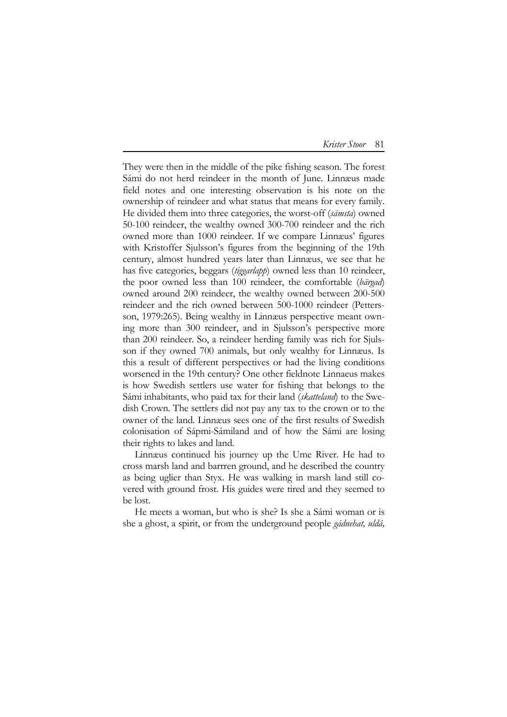Krister Stoor 81

They were then in the middle of the pike fishing season. The forest Sámi do not herd reindeer in the month of June. Linnæus made field notes and one interesting observation is his note on the ownership of reindeer and what status that means for every family. He divided them into three categories, the worst-off (sämsta) owned 50-100 reindeer, the wealthy owned 300-700 reindeer and the rich owned more than 1000 reindeer. If we compare Linnæus' figures with Kristoffer Sjulsson's figures from the beginning of the 19th century, almost hundred years later than Linnæus, we see that he has five categories, beggars (tiggarlapp) owned less than 10 reindeer, the poor owned less than 100 reindeer, the comfortable (bärgad) owned around 200 reindeer, the wealthy owned between 200-500 reindeer and the rich owned between 500-1000 reindeer (Pettersson, 1979:265). Being wealthy in Linnæus perspective meant owning more than 300 reindeer, and in Sjulsson's perspective more than 200 reindeer. So, a reindeer herding family was rich for Sjulsson if they owned 700 animals, but only wealthy for Linnæus. Is this a result of different perspectives or had the living conditions worsened in the 19th century? One other fieldnote Linnaeus makes is how Swedish settlers use water for fishing that belongs to the Sámi inhabitants, who paid tax for their land (skatteland) to the Swedish Crown. The settlers did not pay any tax to the crown or to the owner of the land. Linnæus sees one of the first results of Swedish colonisation of Sápmi-Sámiland and of how the Sámi are losing their rights to lakes and land.

Linnæus continued his journey up the Ume River. He had to cross marsh land and barrren ground, and he described the country as being uglier than Styx. He was walking in marsh land still covered with ground frost. His guides were tired and they seemed to be lost.

He meets a woman, but who is she? Is she a Sámi woman or is she a ghost, a spirit, or from the underground people gádnehat, uldá,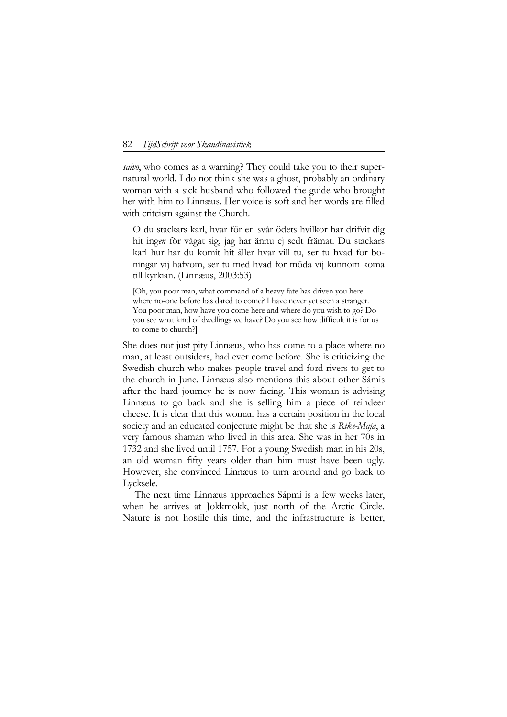#### 82 TijdSchrift voor Skandinavistiek

saivo, who comes as a warning? They could take you to their supernatural world. I do not think she was a ghost, probably an ordinary woman with a sick husband who followed the guide who brought her with him to Linnæus. Her voice is soft and her words are filled with critcism against the Church.

O du stackars karl, hvar för en svår ödets hvilkor har drifvit dig hit ingen för vågat sig, jag har ännu ej sedt främat. Du stackars karl hur har du komit hit äller hvar vill tu, ser tu hvad for boningar vij hafvom, ser tu med hvad for möda vij kunnom koma till kyrkian. (Linnæus, 2003:53)

[Oh, you poor man, what command of a heavy fate has driven you here where no-one before has dared to come? I have never yet seen a stranger. You poor man, how have you come here and where do you wish to go? Do you see what kind of dwellings we have? Do you see how difficult it is for us to come to church?]

She does not just pity Linnæus, who has come to a place where no man, at least outsiders, had ever come before. She is criticizing the Swedish church who makes people travel and ford rivers to get to the church in June. Linnæus also mentions this about other Sámis after the hard journey he is now facing. This woman is advising Linnæus to go back and she is selling him a piece of reindeer cheese. It is clear that this woman has a certain position in the local society and an educated conjecture might be that she is Rike-Maja, a very famous shaman who lived in this area. She was in her 70s in 1732 and she lived until 1757. For a young Swedish man in his 20s, an old woman fifty years older than him must have been ugly. However, she convinced Linnæus to turn around and go back to Lycksele.

The next time Linnæus approaches Sápmi is a few weeks later, when he arrives at Jokkmokk, just north of the Arctic Circle. Nature is not hostile this time, and the infrastructure is better,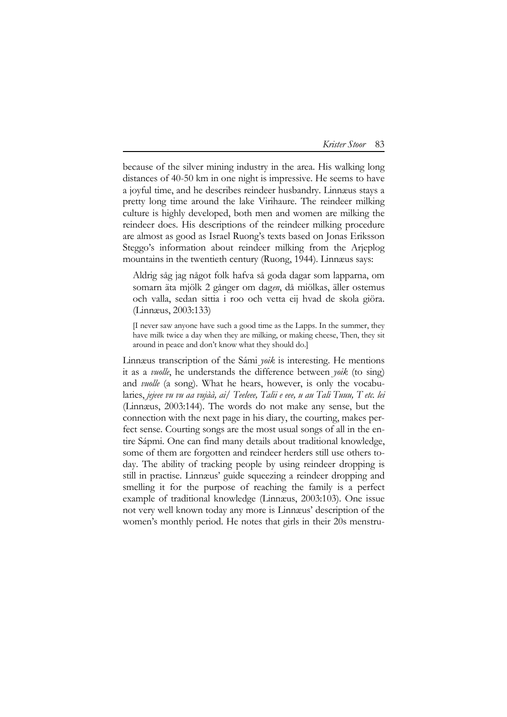| Krister Stoor | 83 |
|---------------|----|
|               |    |

because of the silver mining industry in the area. His walking long distances of 40-50 km in one night is impressive. He seems to have a joyful time, and he describes reindeer husbandry. Linnæus stays a pretty long time around the lake Virihaure. The reindeer milking culture is highly developed, both men and women are milking the reindeer does. His descriptions of the reindeer milking procedure are almost as good as Israel Ruong's texts based on Jonas Eriksson Steggo's information about reindeer milking from the Arjeplog mountains in the twentieth century (Ruong, 1944). Linnæus says:

Aldrig såg jag något folk hafva så goda dagar som lapparna, om somarn äta mjölk 2 gånger om dagen, då miölkas, äller ostemus och valla, sedan sittia i roo och vetta eij hvad de skola giöra. (Linnæus, 2003:133)

[I never saw anyone have such a good time as the Lapps. In the summer, they have milk twice a day when they are milking, or making cheese, Then, they sit around in peace and don't know what they should do.]

Linnæus transcription of the Sámi yoik is interesting. He mentions it as a vuolle, he understands the difference between yoik (to sing) and vuolle (a song). What he hears, however, is only the vocabularies, jejeee vu vu aa vujàà, ai/ Teeleee, Talii e eee, u au Tali Tuuu, T etc. lei (Linnæus, 2003:144). The words do not make any sense, but the connection with the next page in his diary, the courting, makes perfect sense. Courting songs are the most usual songs of all in the entire Sápmi. One can find many details about traditional knowledge, some of them are forgotten and reindeer herders still use others today. The ability of tracking people by using reindeer dropping is still in practise. Linnæus' guide squeezing a reindeer dropping and smelling it for the purpose of reaching the family is a perfect example of traditional knowledge (Linnæus, 2003:103). One issue not very well known today any more is Linnæus' description of the women's monthly period. He notes that girls in their 20s menstru-